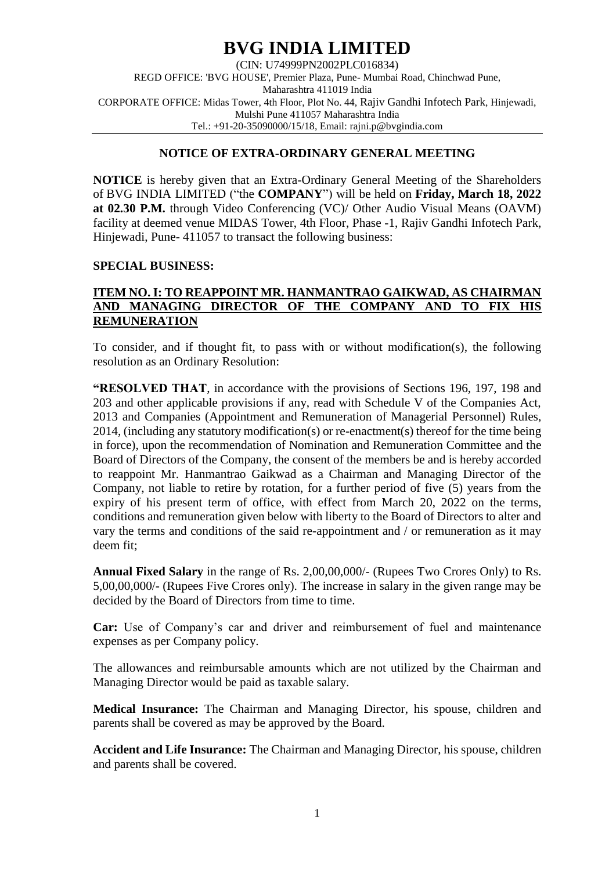# **BVG INDIA LIMITED**

(CIN: U74999PN2002PLC016834) REGD OFFICE: 'BVG HOUSE', Premier Plaza, Pune- Mumbai Road, Chinchwad Pune, Maharashtra 411019 India CORPORATE OFFICE: Midas Tower, 4th Floor, Plot No. 44, Rajiv Gandhi Infotech Park, Hinjewadi, Mulshi Pune 411057 Maharashtra India Tel.: +91-20-35090000/15/18, Email: rajni.p@bvgindia.com

## **NOTICE OF EXTRA-ORDINARY GENERAL MEETING**

**NOTICE** is hereby given that an Extra-Ordinary General Meeting of the Shareholders of BVG INDIA LIMITED ("the **COMPANY**") will be held on **Friday, March 18, 2022 at 02.30 P.M.** through Video Conferencing (VC)/ Other Audio Visual Means (OAVM) facility at deemed venue MIDAS Tower, 4th Floor, Phase -1, Rajiv Gandhi Infotech Park, Hinjewadi, Pune- 411057 to transact the following business:

#### **SPECIAL BUSINESS:**

### **ITEM NO. I: TO REAPPOINT MR. HANMANTRAO GAIKWAD, AS CHAIRMAN AND MANAGING DIRECTOR OF THE COMPANY AND TO FIX HIS REMUNERATION**

To consider, and if thought fit, to pass with or without modification(s), the following resolution as an Ordinary Resolution:

**"RESOLVED THAT**, in accordance with the provisions of Sections 196, 197, 198 and 203 and other applicable provisions if any, read with Schedule V of the Companies Act, 2013 and Companies (Appointment and Remuneration of Managerial Personnel) Rules, 2014, (including any statutory modification(s) or re-enactment(s) thereof for the time being in force), upon the recommendation of Nomination and Remuneration Committee and the Board of Directors of the Company, the consent of the members be and is hereby accorded to reappoint Mr. Hanmantrao Gaikwad as a Chairman and Managing Director of the Company, not liable to retire by rotation, for a further period of five (5) years from the expiry of his present term of office, with effect from March 20, 2022 on the terms, conditions and remuneration given below with liberty to the Board of Directors to alter and vary the terms and conditions of the said re-appointment and / or remuneration as it may deem fit;

**Annual Fixed Salary** in the range of Rs. 2,00,00,000/- (Rupees Two Crores Only) to Rs. 5,00,00,000/- (Rupees Five Crores only). The increase in salary in the given range may be decided by the Board of Directors from time to time.

**Car:** Use of Company's car and driver and reimbursement of fuel and maintenance expenses as per Company policy.

The allowances and reimbursable amounts which are not utilized by the Chairman and Managing Director would be paid as taxable salary.

**Medical Insurance:** The Chairman and Managing Director, his spouse, children and parents shall be covered as may be approved by the Board.

**Accident and Life Insurance:** The Chairman and Managing Director, his spouse, children and parents shall be covered.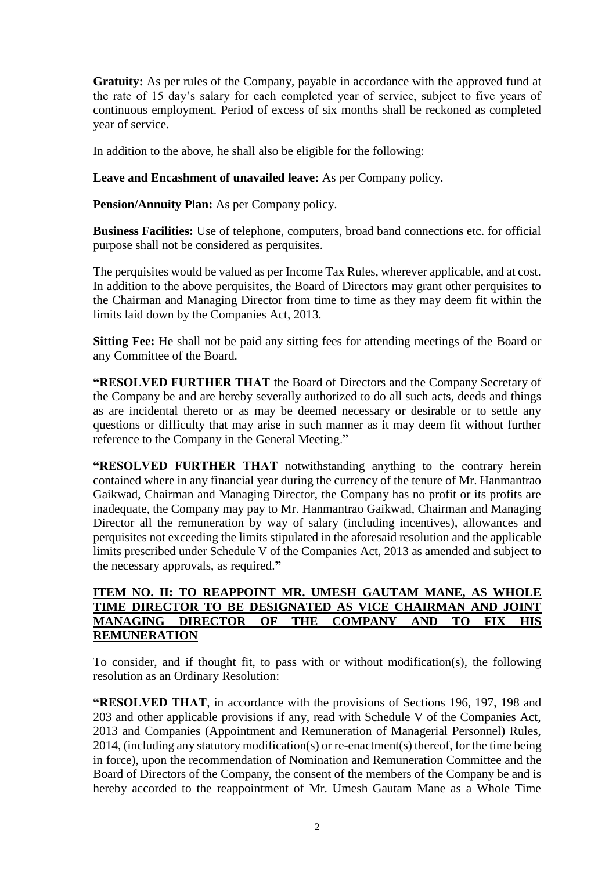**Gratuity:** As per rules of the Company, payable in accordance with the approved fund at the rate of 15 day's salary for each completed year of service, subject to five years of continuous employment. Period of excess of six months shall be reckoned as completed year of service.

In addition to the above, he shall also be eligible for the following:

**Leave and Encashment of unavailed leave:** As per Company policy.

**Pension/Annuity Plan:** As per Company policy.

**Business Facilities:** Use of telephone, computers, broad band connections etc. for official purpose shall not be considered as perquisites.

The perquisites would be valued as per Income Tax Rules, wherever applicable, and at cost. In addition to the above perquisites, the Board of Directors may grant other perquisites to the Chairman and Managing Director from time to time as they may deem fit within the limits laid down by the Companies Act, 2013.

**Sitting Fee:** He shall not be paid any sitting fees for attending meetings of the Board or any Committee of the Board.

**"RESOLVED FURTHER THAT** the Board of Directors and the Company Secretary of the Company be and are hereby severally authorized to do all such acts, deeds and things as are incidental thereto or as may be deemed necessary or desirable or to settle any questions or difficulty that may arise in such manner as it may deem fit without further reference to the Company in the General Meeting."

**"RESOLVED FURTHER THAT** notwithstanding anything to the contrary herein contained where in any financial year during the currency of the tenure of Mr. Hanmantrao Gaikwad, Chairman and Managing Director, the Company has no profit or its profits are inadequate, the Company may pay to Mr. Hanmantrao Gaikwad, Chairman and Managing Director all the remuneration by way of salary (including incentives), allowances and perquisites not exceeding the limits stipulated in the aforesaid resolution and the applicable limits prescribed under Schedule V of the Companies Act, 2013 as amended and subject to the necessary approvals, as required.**"**

# **ITEM NO. II: TO REAPPOINT MR. UMESH GAUTAM MANE, AS WHOLE TIME DIRECTOR TO BE DESIGNATED AS VICE CHAIRMAN AND JOINT MANAGING DIRECTOR OF THE COMPANY AND TO FIX HIS REMUNERATION**

To consider, and if thought fit, to pass with or without modification(s), the following resolution as an Ordinary Resolution:

**"RESOLVED THAT**, in accordance with the provisions of Sections 196, 197, 198 and 203 and other applicable provisions if any, read with Schedule V of the Companies Act, 2013 and Companies (Appointment and Remuneration of Managerial Personnel) Rules, 2014, (including any statutory modification(s) or re-enactment(s) thereof, for the time being in force), upon the recommendation of Nomination and Remuneration Committee and the Board of Directors of the Company, the consent of the members of the Company be and is hereby accorded to the reappointment of Mr. Umesh Gautam Mane as a Whole Time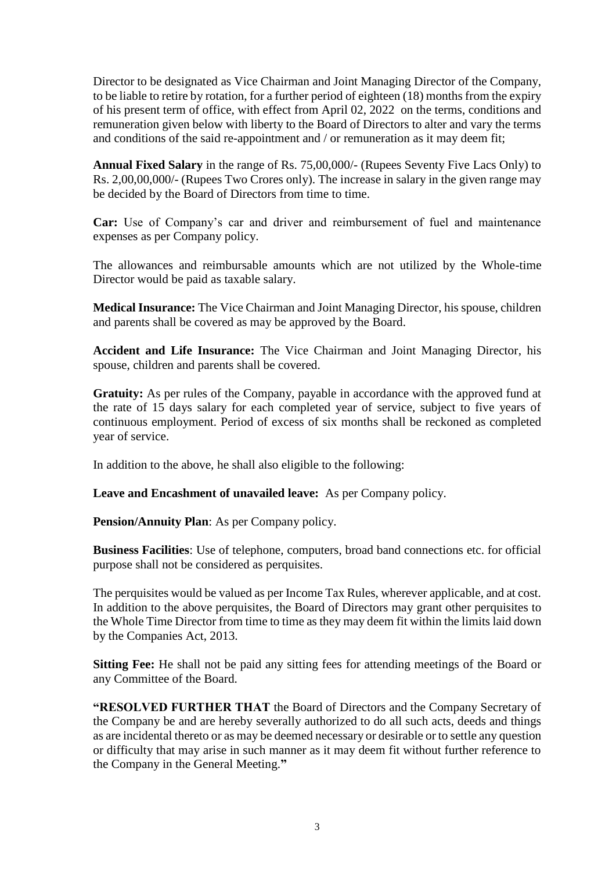Director to be designated as Vice Chairman and Joint Managing Director of the Company, to be liable to retire by rotation, for a further period of eighteen (18) months from the expiry of his present term of office, with effect from April 02, 2022 on the terms, conditions and remuneration given below with liberty to the Board of Directors to alter and vary the terms and conditions of the said re-appointment and / or remuneration as it may deem fit;

**Annual Fixed Salary** in the range of Rs. 75,00,000/- (Rupees Seventy Five Lacs Only) to Rs. 2,00,00,000/- (Rupees Two Crores only). The increase in salary in the given range may be decided by the Board of Directors from time to time.

**Car:** Use of Company's car and driver and reimbursement of fuel and maintenance expenses as per Company policy.

The allowances and reimbursable amounts which are not utilized by the Whole-time Director would be paid as taxable salary.

**Medical Insurance:** The Vice Chairman and Joint Managing Director, his spouse, children and parents shall be covered as may be approved by the Board.

**Accident and Life Insurance:** The Vice Chairman and Joint Managing Director, his spouse, children and parents shall be covered.

**Gratuity:** As per rules of the Company, payable in accordance with the approved fund at the rate of 15 days salary for each completed year of service, subject to five years of continuous employment. Period of excess of six months shall be reckoned as completed year of service.

In addition to the above, he shall also eligible to the following:

**Leave and Encashment of unavailed leave:** As per Company policy.

**Pension/Annuity Plan**: As per Company policy.

**Business Facilities**: Use of telephone, computers, broad band connections etc. for official purpose shall not be considered as perquisites.

The perquisites would be valued as per Income Tax Rules, wherever applicable, and at cost. In addition to the above perquisites, the Board of Directors may grant other perquisites to the Whole Time Director from time to time as they may deem fit within the limits laid down by the Companies Act, 2013.

**Sitting Fee:** He shall not be paid any sitting fees for attending meetings of the Board or any Committee of the Board.

**"RESOLVED FURTHER THAT** the Board of Directors and the Company Secretary of the Company be and are hereby severally authorized to do all such acts, deeds and things as are incidental thereto or as may be deemed necessary or desirable or to settle any question or difficulty that may arise in such manner as it may deem fit without further reference to the Company in the General Meeting.**"**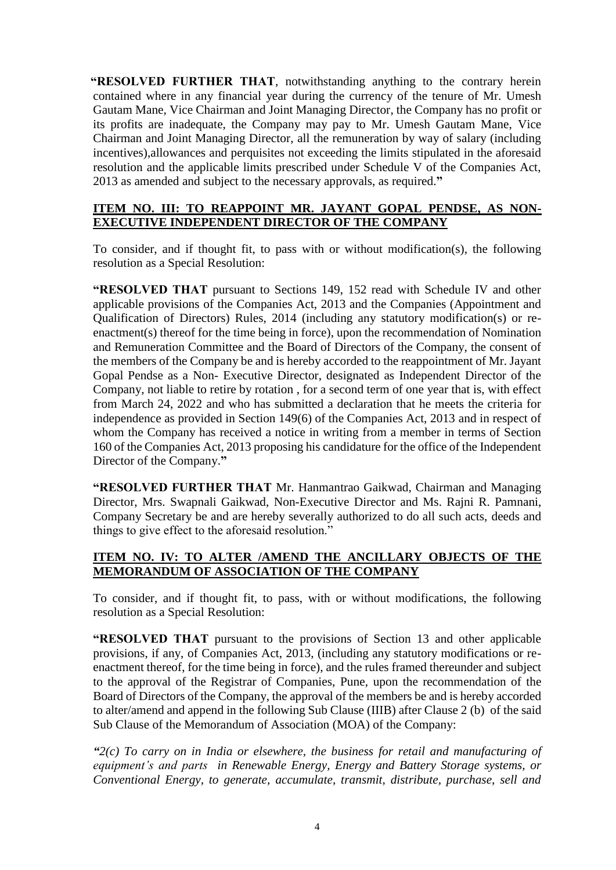**"RESOLVED FURTHER THAT**, notwithstanding anything to the contrary herein contained where in any financial year during the currency of the tenure of Mr. Umesh Gautam Mane, Vice Chairman and Joint Managing Director, the Company has no profit or its profits are inadequate, the Company may pay to Mr. Umesh Gautam Mane, Vice Chairman and Joint Managing Director, all the remuneration by way of salary (including incentives),allowances and perquisites not exceeding the limits stipulated in the aforesaid resolution and the applicable limits prescribed under Schedule V of the Companies Act, 2013 as amended and subject to the necessary approvals, as required.**"**

### **ITEM NO. III: TO REAPPOINT MR. JAYANT GOPAL PENDSE, AS NON-EXECUTIVE INDEPENDENT DIRECTOR OF THE COMPANY**

To consider, and if thought fit, to pass with or without modification(s), the following resolution as a Special Resolution:

**"RESOLVED THAT** pursuant to Sections 149, 152 read with Schedule IV and other applicable provisions of the Companies Act, 2013 and the Companies (Appointment and Qualification of Directors) Rules, 2014 (including any statutory modification(s) or reenactment(s) thereof for the time being in force), upon the recommendation of Nomination and Remuneration Committee and the Board of Directors of the Company, the consent of the members of the Company be and is hereby accorded to the reappointment of Mr. Jayant Gopal Pendse as a Non- Executive Director, designated as Independent Director of the Company, not liable to retire by rotation , for a second term of one year that is, with effect from March 24, 2022 and who has submitted a declaration that he meets the criteria for independence as provided in Section 149(6) of the Companies Act, 2013 and in respect of whom the Company has received a notice in writing from a member in terms of Section 160 of the Companies Act, 2013 proposing his candidature for the office of the Independent Director of the Company.**"**

**"RESOLVED FURTHER THAT** Mr. Hanmantrao Gaikwad, Chairman and Managing Director, Mrs. Swapnali Gaikwad, Non-Executive Director and Ms. Rajni R. Pamnani, Company Secretary be and are hereby severally authorized to do all such acts, deeds and things to give effect to the aforesaid resolution."

# **ITEM NO. IV: TO ALTER /AMEND THE ANCILLARY OBJECTS OF THE MEMORANDUM OF ASSOCIATION OF THE COMPANY**

To consider, and if thought fit, to pass, with or without modifications, the following resolution as a Special Resolution:

**"RESOLVED THAT** pursuant to the provisions of Section 13 and other applicable provisions, if any, of Companies Act, 2013, (including any statutory modifications or reenactment thereof, for the time being in force), and the rules framed thereunder and subject to the approval of the Registrar of Companies, Pune, upon the recommendation of the Board of Directors of the Company, the approval of the members be and is hereby accorded to alter/amend and append in the following Sub Clause (IIIB) after Clause 2 (b) of the said Sub Clause of the Memorandum of Association (MOA) of the Company:

*"2(c) To carry on in India or elsewhere, the business for retail and manufacturing of equipment's and parts in Renewable Energy, Energy and Battery Storage systems, or Conventional Energy, to generate, accumulate, transmit, distribute, purchase, sell and*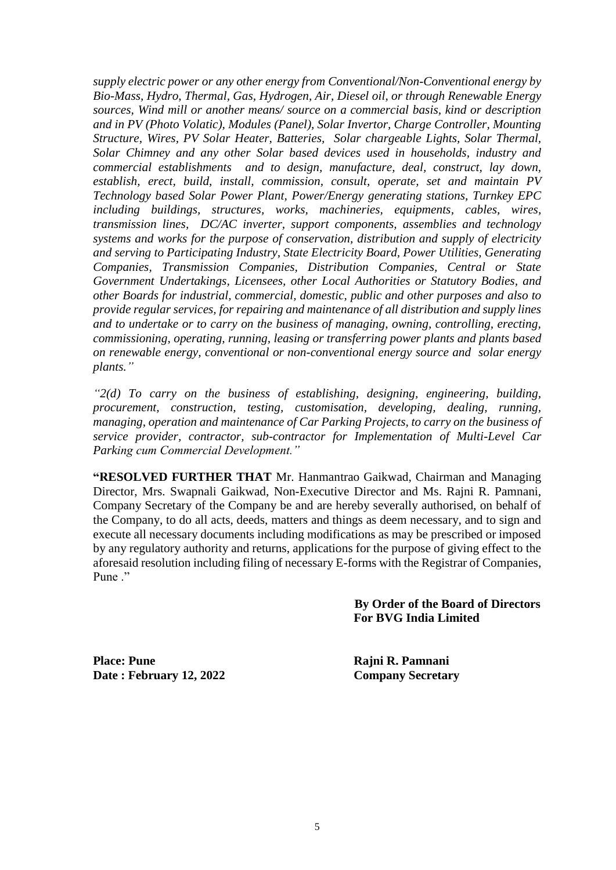*supply electric power or any other energy from Conventional/Non-Conventional energy by Bio-Mass, Hydro, Thermal, Gas, Hydrogen, Air, Diesel oil, or through Renewable Energy sources, Wind mill or another means/ source on a commercial basis, kind or description and in PV (Photo Volatic), Modules (Panel), Solar Invertor, Charge Controller, Mounting Structure, Wires, PV Solar Heater, Batteries, Solar chargeable Lights, Solar Thermal, Solar Chimney and any other Solar based devices used in households, industry and commercial establishments and to design, manufacture, deal, construct, lay down, establish, erect, build, install, commission, consult, operate, set and maintain PV Technology based Solar Power Plant, Power/Energy generating stations, Turnkey EPC including buildings, structures, works, machineries, equipments, cables, wires, transmission lines, DC/AC inverter, support components, assemblies and technology systems and works for the purpose of conservation, distribution and supply of electricity and serving to Participating Industry, State Electricity Board, Power Utilities, Generating Companies, Transmission Companies, Distribution Companies, Central or State Government Undertakings, Licensees, other Local Authorities or Statutory Bodies, and other Boards for industrial, commercial, domestic, public and other purposes and also to provide regular services, for repairing and maintenance of all distribution and supply lines and to undertake or to carry on the business of managing, owning, controlling, erecting, commissioning, operating, running, leasing or transferring power plants and plants based on renewable energy, conventional or non-conventional energy source and solar energy plants."*

*"2(d) To carry on the business of establishing, designing, engineering, building, procurement, construction, testing, customisation, developing, dealing, running, managing, operation and maintenance of Car Parking Projects, to carry on the business of service provider, contractor, sub-contractor for Implementation of Multi-Level Car Parking cum Commercial Development."*

**"RESOLVED FURTHER THAT** Mr. Hanmantrao Gaikwad, Chairman and Managing Director, Mrs. Swapnali Gaikwad, Non-Executive Director and Ms. Rajni R. Pamnani, Company Secretary of the Company be and are hereby severally authorised, on behalf of the Company, to do all acts, deeds, matters and things as deem necessary, and to sign and execute all necessary documents including modifications as may be prescribed or imposed by any regulatory authority and returns, applications for the purpose of giving effect to the aforesaid resolution including filing of necessary E-forms with the Registrar of Companies, Pune ."

> **By Order of the Board of Directors For BVG India Limited**

**Place: Pune Rajni R. Pamnani Date : February 12, 2022 Company Secretary**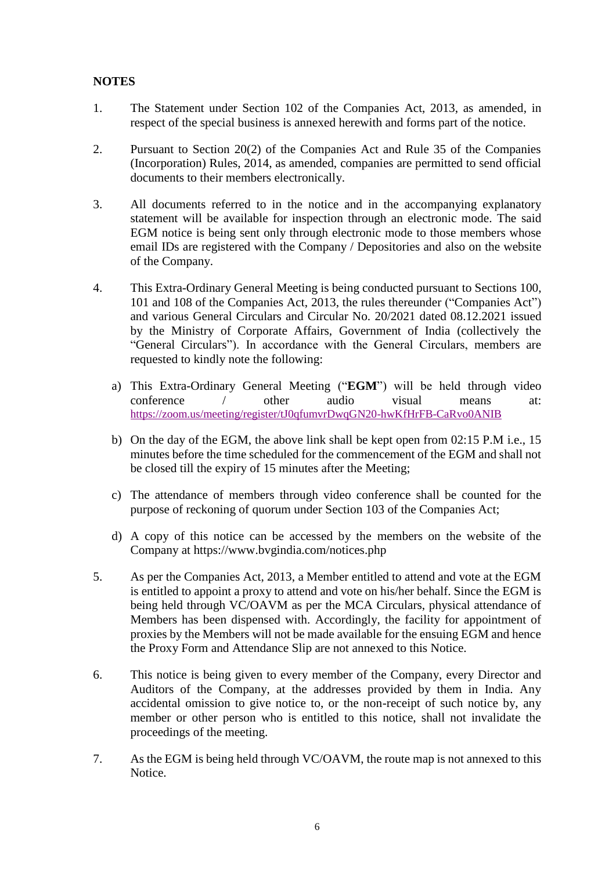# **NOTES**

- 1. The Statement under Section 102 of the Companies Act, 2013, as amended, in respect of the special business is annexed herewith and forms part of the notice.
- 2. Pursuant to Section 20(2) of the Companies Act and Rule 35 of the Companies (Incorporation) Rules, 2014, as amended, companies are permitted to send official documents to their members electronically.
- 3. All documents referred to in the notice and in the accompanying explanatory statement will be available for inspection through an electronic mode. The said EGM notice is being sent only through electronic mode to those members whose email IDs are registered with the Company / Depositories and also on the website of the Company.
- 4. This Extra-Ordinary General Meeting is being conducted pursuant to Sections 100, 101 and 108 of the Companies Act, 2013, the rules thereunder ("Companies Act") and various General Circulars and Circular No. 20/2021 dated 08.12.2021 issued by the Ministry of Corporate Affairs, Government of India (collectively the "General Circulars"). In accordance with the General Circulars, members are requested to kindly note the following:
	- a) This Extra-Ordinary General Meeting ("**EGM**") will be held through video conference / other audio visual means at: <https://zoom.us/meeting/register/tJ0qfumvrDwqGN20-hwKfHrFB-CaRvo0ANIB>
	- b) On the day of the EGM, the above link shall be kept open from 02:15 P.M i.e., 15 minutes before the time scheduled for the commencement of the EGM and shall not be closed till the expiry of 15 minutes after the Meeting;
	- c) The attendance of members through video conference shall be counted for the purpose of reckoning of quorum under Section 103 of the Companies Act;
	- d) A copy of this notice can be accessed by the members on the website of the Company at https://www.bvgindia.com/notices.php
- 5. As per the Companies Act, 2013, a Member entitled to attend and vote at the EGM is entitled to appoint a proxy to attend and vote on his/her behalf. Since the EGM is being held through VC/OAVM as per the MCA Circulars, physical attendance of Members has been dispensed with. Accordingly, the facility for appointment of proxies by the Members will not be made available for the ensuing EGM and hence the Proxy Form and Attendance Slip are not annexed to this Notice.
- 6. This notice is being given to every member of the Company, every Director and Auditors of the Company, at the addresses provided by them in India. Any accidental omission to give notice to, or the non-receipt of such notice by, any member or other person who is entitled to this notice, shall not invalidate the proceedings of the meeting.
- 7. As the EGM is being held through VC/OAVM, the route map is not annexed to this Notice.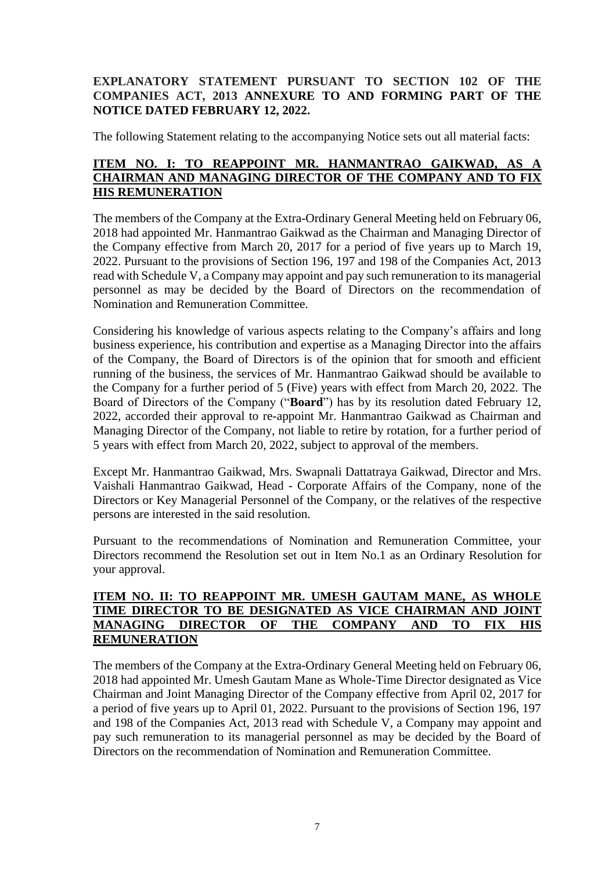# **EXPLANATORY STATEMENT PURSUANT TO SECTION 102 OF THE COMPANIES ACT, 2013 ANNEXURE TO AND FORMING PART OF THE NOTICE DATED FEBRUARY 12, 2022.**

The following Statement relating to the accompanying Notice sets out all material facts:

# **ITEM NO. I: TO REAPPOINT MR. HANMANTRAO GAIKWAD, AS A CHAIRMAN AND MANAGING DIRECTOR OF THE COMPANY AND TO FIX HIS REMUNERATION**

The members of the Company at the Extra-Ordinary General Meeting held on February 06, 2018 had appointed Mr. Hanmantrao Gaikwad as the Chairman and Managing Director of the Company effective from March 20, 2017 for a period of five years up to March 19, 2022. Pursuant to the provisions of Section 196, 197 and 198 of the Companies Act, 2013 read with Schedule V, a Company may appoint and pay such remuneration to its managerial personnel as may be decided by the Board of Directors on the recommendation of Nomination and Remuneration Committee.

Considering his knowledge of various aspects relating to the Company's affairs and long business experience, his contribution and expertise as a Managing Director into the affairs of the Company, the Board of Directors is of the opinion that for smooth and efficient running of the business, the services of Mr. Hanmantrao Gaikwad should be available to the Company for a further period of 5 (Five) years with effect from March 20, 2022. The Board of Directors of the Company ("**Board**") has by its resolution dated February 12, 2022, accorded their approval to re-appoint Mr. Hanmantrao Gaikwad as Chairman and Managing Director of the Company, not liable to retire by rotation, for a further period of 5 years with effect from March 20, 2022, subject to approval of the members.

Except Mr. Hanmantrao Gaikwad, Mrs. Swapnali Dattatraya Gaikwad, Director and Mrs. Vaishali Hanmantrao Gaikwad, Head - Corporate Affairs of the Company, none of the Directors or Key Managerial Personnel of the Company, or the relatives of the respective persons are interested in the said resolution.

Pursuant to the recommendations of Nomination and Remuneration Committee, your Directors recommend the Resolution set out in Item No.1 as an Ordinary Resolution for your approval.

# **ITEM NO. II: TO REAPPOINT MR. UMESH GAUTAM MANE, AS WHOLE TIME DIRECTOR TO BE DESIGNATED AS VICE CHAIRMAN AND JOINT MANAGING DIRECTOR OF THE COMPANY AND TO FIX HIS REMUNERATION**

The members of the Company at the Extra-Ordinary General Meeting held on February 06, 2018 had appointed Mr. Umesh Gautam Mane as Whole-Time Director designated as Vice Chairman and Joint Managing Director of the Company effective from April 02, 2017 for a period of five years up to April 01, 2022. Pursuant to the provisions of Section 196, 197 and 198 of the Companies Act, 2013 read with Schedule V, a Company may appoint and pay such remuneration to its managerial personnel as may be decided by the Board of Directors on the recommendation of Nomination and Remuneration Committee.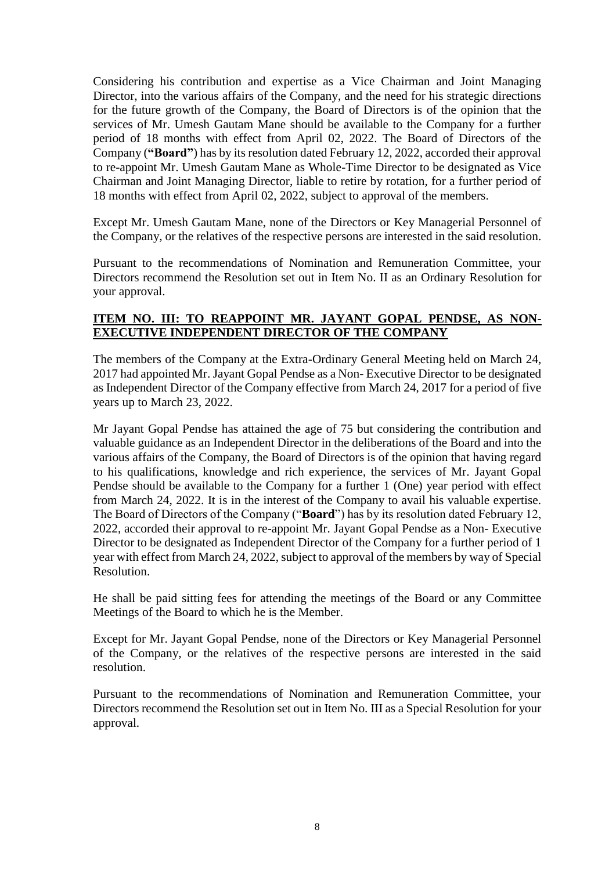Considering his contribution and expertise as a Vice Chairman and Joint Managing Director, into the various affairs of the Company, and the need for his strategic directions for the future growth of the Company, the Board of Directors is of the opinion that the services of Mr. Umesh Gautam Mane should be available to the Company for a further period of 18 months with effect from April 02, 2022. The Board of Directors of the Company (**"Board"**) has by its resolution dated February 12, 2022, accorded their approval to re-appoint Mr. Umesh Gautam Mane as Whole-Time Director to be designated as Vice Chairman and Joint Managing Director, liable to retire by rotation, for a further period of 18 months with effect from April 02, 2022, subject to approval of the members.

Except Mr. Umesh Gautam Mane, none of the Directors or Key Managerial Personnel of the Company, or the relatives of the respective persons are interested in the said resolution.

Pursuant to the recommendations of Nomination and Remuneration Committee, your Directors recommend the Resolution set out in Item No. II as an Ordinary Resolution for your approval.

## **ITEM NO. III: TO REAPPOINT MR. JAYANT GOPAL PENDSE, AS NON-EXECUTIVE INDEPENDENT DIRECTOR OF THE COMPANY**

The members of the Company at the Extra-Ordinary General Meeting held on March 24, 2017 had appointed Mr. Jayant Gopal Pendse as a Non- Executive Director to be designated as Independent Director of the Company effective from March 24, 2017 for a period of five years up to March 23, 2022.

Mr Jayant Gopal Pendse has attained the age of 75 but considering the contribution and valuable guidance as an Independent Director in the deliberations of the Board and into the various affairs of the Company, the Board of Directors is of the opinion that having regard to his qualifications, knowledge and rich experience, the services of Mr. Jayant Gopal Pendse should be available to the Company for a further 1 (One) year period with effect from March 24, 2022. It is in the interest of the Company to avail his valuable expertise. The Board of Directors of the Company ("**Board**") has by its resolution dated February 12, 2022, accorded their approval to re-appoint Mr. Jayant Gopal Pendse as a Non- Executive Director to be designated as Independent Director of the Company for a further period of 1 year with effect from March 24, 2022, subject to approval of the members by way of Special Resolution.

He shall be paid sitting fees for attending the meetings of the Board or any Committee Meetings of the Board to which he is the Member.

Except for Mr. Jayant Gopal Pendse, none of the Directors or Key Managerial Personnel of the Company, or the relatives of the respective persons are interested in the said resolution.

Pursuant to the recommendations of Nomination and Remuneration Committee, your Directors recommend the Resolution set out in Item No. III as a Special Resolution for your approval.